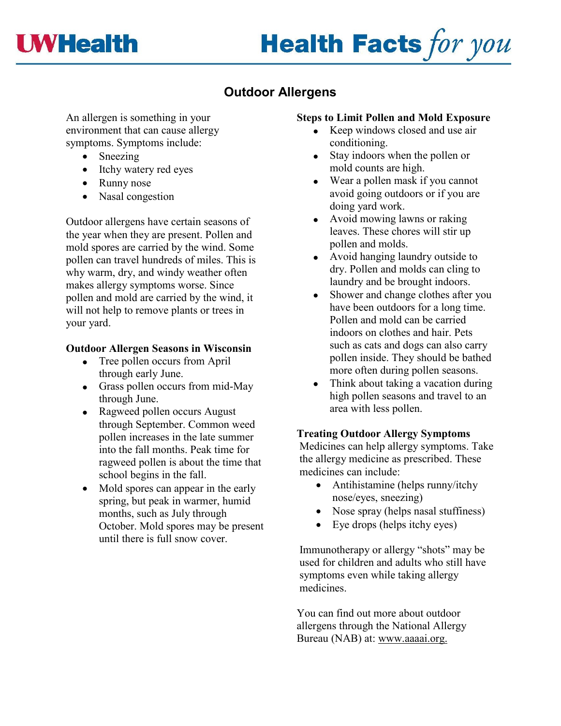

# **Health Facts for you**

## **Outdoor Allergens**

An allergen is something in your environment that can cause allergy symptoms. Symptoms include:

- Sneezing
- Itchy watery red eyes
- Runny nose
- Nasal congestion

Outdoor allergens have certain seasons of the year when they are present. Pollen and mold spores are carried by the wind. Some pollen can travel hundreds of miles. This is why warm, dry, and windy weather often makes allergy symptoms worse. Since pollen and mold are carried by the wind, it will not help to remove plants or trees in your yard.

#### **Outdoor Allergen Seasons in Wisconsin**

- Tree pollen occurs from April through early June.
- Grass pollen occurs from mid-May through June.
- Ragweed pollen occurs August through September. Common weed pollen increases in the late summer into the fall months. Peak time for ragweed pollen is about the time that school begins in the fall.
- Mold spores can appear in the early spring, but peak in warmer, humid months, such as July through October. Mold spores may be present until there is full snow cover.

#### **Steps to Limit Pollen and Mold Exposure**

- Keep windows closed and use air conditioning.
- Stay indoors when the pollen or mold counts are high.
- Wear a pollen mask if you cannot avoid going outdoors or if you are doing yard work.
- Avoid mowing lawns or raking leaves. These chores will stir up pollen and molds.
- Avoid hanging laundry outside to dry. Pollen and molds can cling to laundry and be brought indoors.
- Shower and change clothes after you have been outdoors for a long time. Pollen and mold can be carried indoors on clothes and hair. Pets such as cats and dogs can also carry pollen inside. They should be bathed more often during pollen seasons.
- Think about taking a vacation during high pollen seasons and travel to an area with less pollen.

### **Treating Outdoor Allergy Symptoms**

Medicines can help allergy symptoms. Take the allergy medicine as prescribed. These medicines can include:

- Antihistamine (helps runny/itchy nose/eyes, sneezing)
- Nose spray (helps nasal stuffiness)
- Eye drops (helps itchy eyes)

Immunotherapy or allergy "shots" may be used for children and adults who still have symptoms even while taking allergy medicines.

You can find out more about outdoor allergens through the National Allergy Bureau (NAB) at: www.aaaai.org.